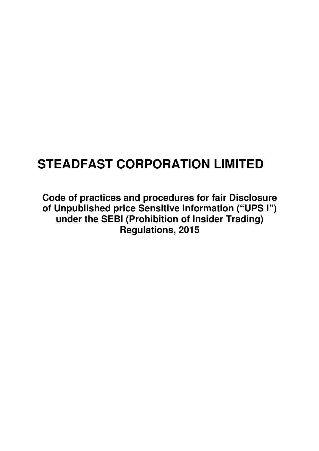# **STEADFAST CORPORATION LIMITED**

**Code of practices and procedures for fair Disclosure of Unpublished price Sensitive Information ("UPS I") under the SEBI (Prohibition of Insider Trading) Regulations, 2015**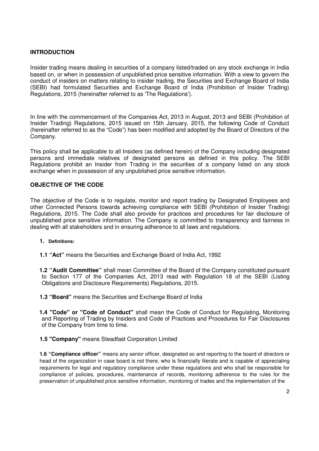# **INTRODUCTION**

Insider trading means dealing in securities of a company listed/traded on any stock exchange in India based on, or when in possession of unpublished price sensitive information. With a view to govern the conduct of insiders on matters relating to insider trading, the Securities and Exchange Board of India (SEBI) had formulated Securities and Exchange Board of India (Prohibition of Insider Trading) Regulations, 2015 (hereinafter referred to as 'The Regulations').

In line with the commencement of the Companies Act, 2013 in August, 2013 and SEBI (Prohibition of Insider Trading) Regulations, 2015 issued on 15th January, 2015, the following Code of Conduct (hereinafter referred to as the "Code") has been modified and adopted by the Board of Directors of the Company.

This policy shall be applicable to all Insiders (as defined herein) of the Company including designated persons and immediate relatives of designated persons as defined in this policy. The SEBI Regulations prohibit an Insider from Trading in the securities of a company listed on any stock exchange when in possession of any unpublished price sensitive information.

# **OBJECTIVE OF THE CODE**

The objective of the Code is to regulate, monitor and report trading by Designated Employees and other Connected Persons towards achieving compliance with SEBI (Prohibition of Insider Trading) Regulations, 2015. The Code shall also provide for practices and procedures for fair disclosure of unpublished price sensitive information. The Company is committed to transparency and fairness in dealing with all stakeholders and in ensuring adherence to all laws and regulations.

#### **1. Definitions:**

**1.1 "Act"** means the Securities and Exchange Board of India Act, 1992

**1.2 ''Audit Committee''** shall mean Committee of the Board of the Company constituted pursuant to Section 177 of the Companies Act, 2013 read with Regulation 18 of the SEBI (Listing Obligations and Disclosure Requirements) Regulations, 2015.

**1.3 "Board"** means the Securities and Exchange Board of India

**1.4 "Code" or "Code of Conduct"** shall mean the Code of Conduct for Regulating, Monitoring and Reporting of Trading by Insiders and Code of Practices and Procedures for Fair Disclosures of the Company from time to time.

**1.5 "Company"** means Steadfast Corporation Limited

**1.6 "Compliance officer"** means any senior officer, designated so and reporting to the board of directors or head of the organization in case board is not there, who is financially literate and is capable of appreciating requirements for legal and regulatory compliance under these regulations and who shall be responsible for compliance of policies, procedures, maintenance of records, monitoring adherence to the rules for the preservation of unpublished price sensitive information, monitoring of trades and the implementation of the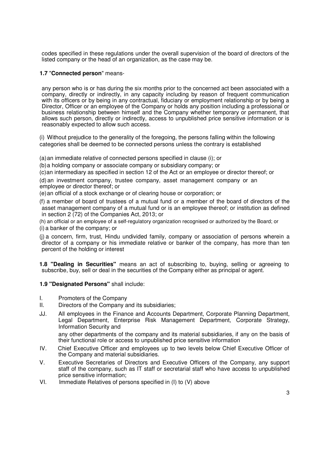codes specified in these regulations under the overall supervision of the board of directors of the listed company or the head of an organization, as the case may be.

# **1.7** "**Connected person**" means-

any person who is or has during the six months prior to the concerned act been associated with a company, directly or indirectly, in any capacity including by reason of frequent communication with its officers or by being in any contractual, fiduciary or employment relationship or by being a Director, Officer or an employee of the Company or holds any position including a professional or business relationship between himself and the Company whether temporary or permanent, that allows such person, directly or indirectly, access to unpublished price sensitive information or is reasonably expected to allow such access.

(i) Without prejudice to the generality of the foregoing, the persons falling within the following categories shall be deemed to be connected persons unless the contrary is established

(a) an immediate relative of connected persons specified in clause (i); or

(b) a holding company or associate company or subsidiary company; or

(c) an intermediary as specified in section 12 of the Act or an employee or director thereof; or

(d) an investment company, trustee company, asset management company or an employee or director thereof; or

(e) an official of a stock exchange or of clearing house or corporation; or

(f) a member of board of trustees of a mutual fund or a member of the board of directors of the asset management company of a mutual fund or is an employee thereof; or institution as defined in section 2 (72) of the Companies Act, 2013; or

(h) an official or an employee of a self-regulatory organization recognised or authorized by the Board; or

(i) a banker of the company; or

(j) a concern, firm, trust, Hindu undivided family, company or association of persons wherein a director of a company or his immediate relative or banker of the company, has more than ten percent of the holding or interest

**1.8 "Dealing in Securities"** means an act of subscribing to, buying, selling or agreeing to subscribe, buy, sell or deal in the securities of the Company either as principal or agent.

#### **1.9 "Designated Persons"** shall include:

- I. Promoters of the Company
- II. Directors of the Company and its subsidiaries;
- JJ. All employees in the Finance and Accounts Department, Corporate Planning Department, Legal Department, Enterprise Risk Management Department, Corporate Strategy, Information Security and any other departments of the company and its material subsidiaries, if any on the basis of
- their functional role or access to unpublished price sensitive information IV. Chief Executive Officer and employees up to two levels below Chief Executive Officer of the Company and material subsidiaries.
- V. Executive Secretaries of Directors and Executive Officers of the Company, any support staff of the company, such as IT staff or secretarial staff who have access to unpublished price sensitive information;
- VI. Immediate Relatives of persons specified in (I) to (V) above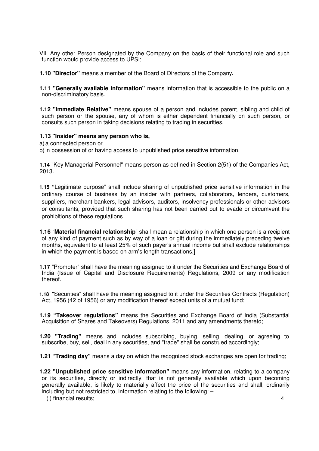VII. Any other Person designated by the Company on the basis of their functional role and such function would provide access to UPSI;

**1.10 "Director"** means a member of the Board of Directors of the Company**.**

**1.11 "Generally available information"** means information that is accessible to the public on a non-discriminatory basis.

**1.12 "Immediate Relative"** means spouse of a person and includes parent, sibling and child of such person or the spouse, any of whom is either dependent financially on such person, or consults such person in taking decisions relating to trading in securities.

#### **1.13 "Insider" means any person who is,**

a) a connected person or

b) in possession of or having access to unpublished price sensitive information.

**1.14** "Key Managerial Personnel" means person as defined in Section 2(51) of the Companies Act, 2013.

**1.15 "**Legitimate purpose" shall include sharing of unpublished price sensitive information in the ordinary course of business by an insider with partners, collaborators, lenders, customers, suppliers, merchant bankers, legal advisors, auditors, insolvency professionals or other advisors or consultants, provided that such sharing has not been carried out to evade or circumvent the prohibitions of these regulations.

**1.16** "**Material financial relationship**" shall mean a relationship in which one person is a recipient of any kind of payment such as by way of a loan or gift during the immediately preceding twelve months, equivalent to at least 25% of such payer's annual income but shall exclude relationships in which the payment is based on arm's length transactions.]

**1.17** "Promoter" shall have the meaning assigned to it under the Securities and Exchange Board of India (Issue of Capital and Disclosure Requirements) Regulations, 2009 or any modification thereof.

**1.18** "Securities" shall have the meaning assigned to it under the Securities Contracts (Regulation) Act, 1956 (42 of 1956) or any modification thereof except units of a mutual fund;

**1.19 "Takeover regulations"** means the Securities and Exchange Board of India (Substantial Acquisition of Shares and Takeovers) Regulations, 2011 and any amendments thereto;

**1.20 "Trading"** means and includes subscribing, buying, selling, dealing, or agreeing to subscribe, buy, sell, deal in any securities, and "trade" shall be construed accordingly;

**1.21 "Trading day"** means a day on which the recognized stock exchanges are open for trading;

**1.22 "Unpublished price sensitive information"** means any information, relating to a company or its securities, directly or indirectly, that is not generally available which upon becoming generally available, is likely to materially affect the price of the securities and shall, ordinarily including but not restricted to, information relating to the following: –

(i) financial results; 4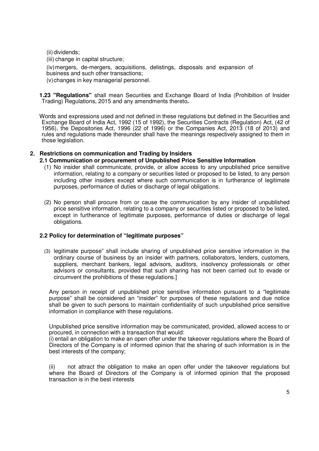(ii) dividends;

(iii) change in capital structure;

(iv) mergers, de-mergers, acquisitions, delistings, disposals and expansion of business and such other transactions;

(v) changes in key managerial personnel.

**1.23 "Regulations"** shall mean Securities and Exchange Board of India (Prohibition of Insider Trading) Regulations, 2015 and any amendments thereto**.**

Words and expressions used and not defined in these regulations but defined in the Securities and Exchange Board of India Act, 1992 (15 of 1992), the Securities Contracts (Regulation) Act, (42 of 1956), the Depositories Act, 1996 (22 of 1996) or the Companies Act, 2013 (18 of 2013) and rules and regulations made thereunder shall have the meanings respectively assigned to them in those legislation.

# **2. Restrictions on communication and Trading by Insiders**

# **2.1 Communication or procurement of Unpublished Price Sensitive Information**

- (1) No insider shall communicate, provide, or allow access to any unpublished price sensitive information, relating to a company or securities listed or proposed to be listed, to any person including other insiders except where such communication is in furtherance of legitimate purposes, performance of duties or discharge of legal obligations.
- (2) No person shall procure from or cause the communication by any insider of unpublished price sensitive information, relating to a company or securities listed or proposed to be listed, except in furtherance of legitimate purposes, performance of duties or discharge of legal obligations.

# **2.2 Policy for determination of "legitimate purposes"**

(3) legitimate purpose" shall include sharing of unpublished price sensitive information in the ordinary course of business by an insider with partners, collaborators, lenders, customers, suppliers, merchant bankers, legal advisors, auditors, insolvency professionals or other advisors or consultants, provided that such sharing has not been carried out to evade or circumvent the prohibitions of these regulations.]

Any person in receipt of unpublished price sensitive information pursuant to a "legitimate purpose" shall be considered an "insider" for purposes of these regulations and due notice shall be given to such persons to maintain confidentiality of such unpublished price sensitive information in compliance with these regulations.

Unpublished price sensitive information may be communicated, provided, allowed access to or procured, in connection with a transaction that would:

(i) entail an obligation to make an open offer under the takeover regulations where the Board of Directors of the Company is of informed opinion that the sharing of such information is in the best interests of the company;

(ii) not attract the obligation to make an open offer under the takeover regulations but where the Board of Directors of the Company is of informed opinion that the proposed transaction is in the best interests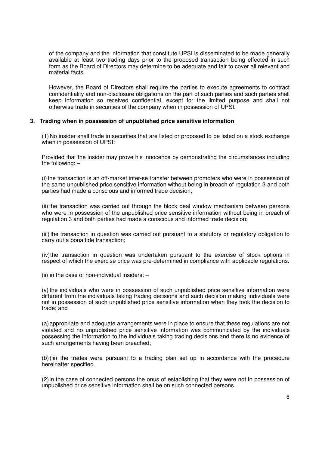of the company and the information that constitute UPSI is disseminated to be made generally available at least two trading days prior to the proposed transaction being effected in such form as the Board of Directors may determine to be adequate and fair to cover all relevant and material facts.

However, the Board of Directors shall require the parties to execute agreements to contract confidentiality and non-disclosure obligations on the part of such parties and such parties shall keep information so received confidential, except for the limited purpose and shall not otherwise trade in securities of the company when in possession of UPSI.

#### **3. Trading when in possession of unpublished price sensitive information**

(1) No insider shall trade in securities that are listed or proposed to be listed on a stock exchange when in possession of UPSI:

Provided that the insider may prove his innocence by demonstrating the circumstances including the following: –

(i) the transaction is an off-market inter-se transfer between promoters who were in possession of the same unpublished price sensitive information without being in breach of regulation 3 and both parties had made a conscious and informed trade decision;

(ii) the transaction was carried out through the block deal window mechanism between persons who were in possession of the unpublished price sensitive information without being in breach of regulation 3 and both parties had made a conscious and informed trade decision;

(iii) the transaction in question was carried out pursuant to a statutory or regulatory obligation to carry out a bona fide transaction;

(iv) the transaction in question was undertaken pursuant to the exercise of stock options in respect of which the exercise price was pre-determined in compliance with applicable regulations.

(ii) in the case of non-individual insiders:  $-$ 

(v) the individuals who were in possession of such unpublished price sensitive information were different from the individuals taking trading decisions and such decision making individuals were not in possession of such unpublished price sensitive information when they took the decision to trade; and

(a) appropriate and adequate arrangements were in place to ensure that these regulations are not violated and no unpublished price sensitive information was communicated by the individuals possessing the information to the individuals taking trading decisions and there is no evidence of such arrangements having been breached;

(b) (iii) the trades were pursuant to a trading plan set up in accordance with the procedure hereinafter specified.

(2) In the case of connected persons the onus of establishing that they were not in possession of unpublished price sensitive information shall be on such connected persons.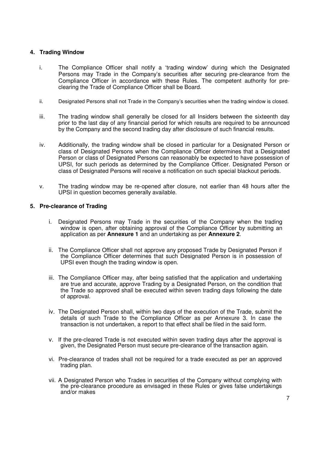# **4. Trading Window**

- i. The Compliance Officer shall notify a 'trading window' during which the Designated Persons may Trade in the Company's securities after securing pre-clearance from the Compliance Officer in accordance with these Rules. The competent authority for preclearing the Trade of Compliance Officer shall be Board.
- ii. Designated Persons shall not Trade in the Company's securities when the trading window is closed.
- iii. The trading window shall generally be closed for all Insiders between the sixteenth day prior to the last day of any financial period for which results are required to be announced by the Company and the second trading day after disclosure of such financial results.
- iv. Additionally, the trading window shall be closed in particular for a Designated Person or class of Designated Persons when the Compliance Officer determines that a Designated Person or class of Designated Persons can reasonably be expected to have possession of UPSI, for such periods as determined by the Compliance Officer. Designated Person or class of Designated Persons will receive a notification on such special blackout periods.
- v. The trading window may be re-opened after closure, not earlier than 48 hours after the UPSI in question becomes generally available.

#### **5. Pre-clearance of Trading**

- i. Designated Persons may Trade in the securities of the Company when the trading window is open, after obtaining approval of the Compliance Officer by submitting an application as per **Annexure 1** and an undertaking as per **Annexure 2**.
- ii. The Compliance Officer shall not approve any proposed Trade by Designated Person if the Compliance Officer determines that such Designated Person is in possession of UPSI even though the trading window is open.
- iii. The Compliance Officer may, after being satisfied that the application and undertaking are true and accurate, approve Trading by a Designated Person, on the condition that the Trade so approved shall be executed within seven trading days following the date of approval.
- iv. The Designated Person shall, within two days of the execution of the Trade, submit the details of such Trade to the Compliance Officer as per Annexure 3. In case the transaction is not undertaken, a report to that effect shall be filed in the said form.
- v. If the pre-cleared Trade is not executed within seven trading days after the approval is given, the Designated Person must secure pre-clearance of the transaction again.
- vi. Pre-clearance of trades shall not be required for a trade executed as per an approved trading plan.
- vii. A Designated Person who Trades in securities of the Company without complying with the pre-clearance procedure as envisaged in these Rules or gives false undertakings and/or makes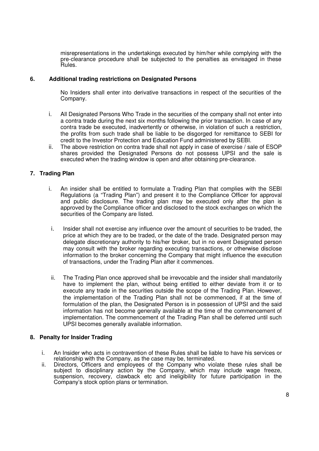misrepresentations in the undertakings executed by him/her while complying with the pre-clearance procedure shall be subjected to the penalties as envisaged in these Rules.

#### **6. Additional trading restrictions on Designated Persons**

No Insiders shall enter into derivative transactions in respect of the securities of the Company.

- i. All Designated Persons Who Trade in the securities of the company shall not enter into a contra trade during the next six months following the prior transaction. In case of any contra trade be executed, inadvertently or otherwise, in violation of such a restriction, the profits from such trade shall be liable to be disgorged for remittance to SEBI for credit to the Investor Protection and Education Fund administered by SEBI.
- ii. The above restriction on contra trade shall not apply in case of exercise / sale of ESOP shares provided the Designated Persons do not possess UPSI and the sale is executed when the trading window is open and after obtaining pre-clearance.

# **7. Trading Plan**

- i. An insider shall be entitled to formulate a Trading Plan that complies with the SEBI Regulations (a "Trading Plan") and present it to the Compliance Officer for approval and public disclosure. The trading plan may be executed only after the plan is approved by the Compliance officer and disclosed to the stock exchanges on which the securities of the Company are listed.
- i. Insider shall not exercise any influence over the amount of securities to be traded, the price at which they are to be traded, or the date of the trade. Designated person may delegate discretionary authority to his/her broker, but in no event Designated person may consult with the broker regarding executing transactions, or otherwise disclose information to the broker concerning the Company that might influence the execution of transactions, under the Trading Plan after it commences.
- ii. The Trading Plan once approved shall be irrevocable and the insider shall mandatorily have to implement the plan, without being entitled to either deviate from it or to execute any trade in the securities outside the scope of the Trading Plan. However, the implementation of the Trading Plan shall not be commenced, if at the time of formulation of the plan, the Designated Person is in possession of UPSI and the said information has not become generally available at the time of the commencement of implementation. The commencement of the Trading Plan shall be deferred until such UPSI becomes generally available information.

#### **8. Penalty for Insider Trading**

- i. An Insider who acts in contravention of these Rules shall be liable to have his services or relationship with the Company, as the case may be, terminated.
- ii. Directors, Officers and employees of the Company who violate these rules shall be subject to disciplinary action by the Company, which may include wage freeze, suspension, recovery, clawback etc and ineligibility for future participation in the Company's stock option plans or termination.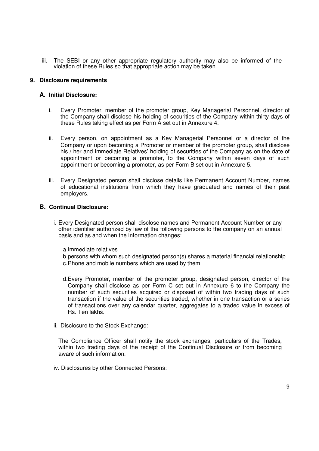iii. The SEBI or any other appropriate regulatory authority may also be informed of the violation of these Rules so that appropriate action may be taken.

#### **9. Disclosure requirements**

#### **A. Initial Disclosure:**

- i. Every Promoter, member of the promoter group, Key Managerial Personnel, director of the Company shall disclose his holding of securities of the Company within thirty days of these Rules taking effect as per Form A set out in Annexure 4.
- ii. Every person, on appointment as a Key Managerial Personnel or a director of the Company or upon becoming a Promoter or member of the promoter group, shall disclose his / her and Immediate Relatives' holding of securities of the Company as on the date of appointment or becoming a promoter, to the Company within seven days of such appointment or becoming a promoter, as per Form B set out in Annexure 5.
- iii. Every Designated person shall disclose details like Permanent Account Number, names of educational institutions from which they have graduated and names of their past employers.

#### **B. Continual Disclosure:**

- i. Every Designated person shall disclose names and Permanent Account Number or any other identifier authorized by law of the following persons to the company on an annual basis and as and when the information changes:
	- a. Immediate relatives
	- b. persons with whom such designated person(s) shares a material financial relationship c. Phone and mobile numbers which are used by them
	- d. Every Promoter, member of the promoter group, designated person, director of the Company shall disclose as per Form C set out in Annexure 6 to the Company the number of such securities acquired or disposed of within two trading days of such transaction if the value of the securities traded, whether in one transaction or a series of transactions over any calendar quarter, aggregates to a traded value in excess of Rs. Ten lakhs.
- ii. Disclosure to the Stock Exchange:

The Compliance Officer shall notify the stock exchanges, particulars of the Trades, within two trading days of the receipt of the Continual Disclosure or from becoming aware of such information.

iv. Disclosures by other Connected Persons: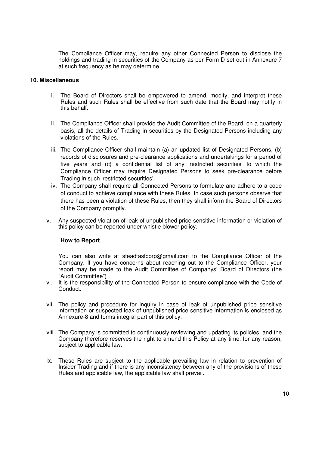The Compliance Officer may, require any other Connected Person to disclose the holdings and trading in securities of the Company as per Form D set out in Annexure 7 at such frequency as he may determine.

#### **10. Miscellaneous**

- i. The Board of Directors shall be empowered to amend, modify, and interpret these Rules and such Rules shall be effective from such date that the Board may notify in this behalf.
- ii. The Compliance Officer shall provide the Audit Committee of the Board, on a quarterly basis, all the details of Trading in securities by the Designated Persons including any violations of the Rules.
- iii. The Compliance Officer shall maintain (a) an updated list of Designated Persons, (b) records of disclosures and pre-clearance applications and undertakings for a period of five years and (c) a confidential list of any 'restricted securities' to which the Compliance Officer may require Designated Persons to seek pre-clearance before Trading in such 'restricted securities'.
- iv. The Company shall require all Connected Persons to formulate and adhere to a code of conduct to achieve compliance with these Rules. In case such persons observe that there has been a violation of these Rules, then they shall inform the Board of Directors of the Company promptly.
- v. Any suspected violation of leak of unpublished price sensitive information or violation of this policy can be reported under whistle blower policy.

#### **How to Report**

You can also write at steadfastcorp@gmail.com to the Compliance Officer of the Company. If you have concerns about reaching out to the Compliance Officer, your report may be made to the Audit Committee of Companys' Board of Directors (the "Audit Committee")

- vi. It is the responsibility of the Connected Person to ensure compliance with the Code of Conduct.
- vii. The policy and procedure for inquiry in case of leak of unpublished price sensitive information or suspected leak of unpublished price sensitive information is enclosed as Annexure-8 and forms integral part of this policy.
- viii. The Company is committed to continuously reviewing and updating its policies, and the Company therefore reserves the right to amend this Policy at any time, for any reason, subject to applicable law.
- ix. These Rules are subject to the applicable prevailing law in relation to prevention of Insider Trading and if there is any inconsistency between any of the provisions of these Rules and applicable law, the applicable law shall prevail.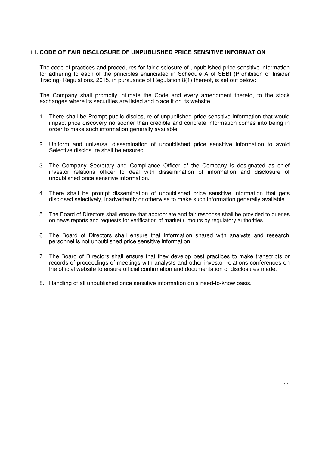#### **11. CODE OF FAIR DISCLOSURE OF UNPUBLISHED PRICE SENSITIVE INFORMATION**

The code of practices and procedures for fair disclosure of unpublished price sensitive information for adhering to each of the principles enunciated in Schedule A of SEBI (Prohibition of Insider Trading) Regulations, 2015, in pursuance of Regulation 8(1) thereof, is set out below:

The Company shall promptly intimate the Code and every amendment thereto, to the stock exchanges where its securities are listed and place it on its website.

- 1. There shall be Prompt public disclosure of unpublished price sensitive information that would impact price discovery no sooner than credible and concrete information comes into being in order to make such information generally available.
- 2. Uniform and universal dissemination of unpublished price sensitive information to avoid Selective disclosure shall be ensured.
- 3. The Company Secretary and Compliance Officer of the Company is designated as chief investor relations officer to deal with dissemination of information and disclosure of unpublished price sensitive information.
- 4. There shall be prompt dissemination of unpublished price sensitive information that gets disclosed selectively, inadvertently or otherwise to make such information generally available.
- 5. The Board of Directors shall ensure that appropriate and fair response shall be provided to queries on news reports and requests for verification of market rumours by regulatory authorities.
- 6. The Board of Directors shall ensure that information shared with analysts and research personnel is not unpublished price sensitive information.
- 7. The Board of Directors shall ensure that they develop best practices to make transcripts or records of proceedings of meetings with analysts and other investor relations conferences on the official website to ensure official confirmation and documentation of disclosures made.
- 8. Handling of all unpublished price sensitive information on a need-to-know basis.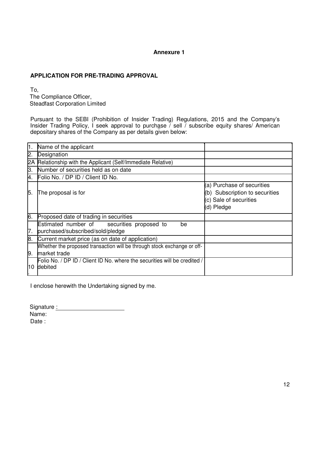# **APPLICATION FOR PRE-TRADING APPROVAL**

To, The Compliance Officer, Steadfast Corporation Limited

Pursuant to the SEBI (Prohibition of Insider Trading) Regulations, 2015 and the Company's Insider Trading Policy, I seek approval to purchase  $\tilde{\ }$  sell  $\tilde{\ }$  subscribe equity shares/ American depositary shares of the Company as per details given below:

| $\overline{1}$ . | Name of the applicant                                                                   |                                                                                                      |
|------------------|-----------------------------------------------------------------------------------------|------------------------------------------------------------------------------------------------------|
| 2.               | Designation                                                                             |                                                                                                      |
| $2\overline{A}$  | Relationship with the Applicant (Self/Immediate Relative)                               |                                                                                                      |
| 3.               | Number of securities held as on date                                                    |                                                                                                      |
| 4.               | Folio No. / DP ID / Client ID No.                                                       |                                                                                                      |
| 5.               | The proposal is for                                                                     | (a) Purchase of securities<br>(b) Subscription to securities<br>(c) Sale of securities<br>(d) Pledge |
| 6.               | Proposed date of trading in securities                                                  |                                                                                                      |
| 7.               | Estimated number of securities proposed to<br>be<br>purchased/subscribed/sold/pledge    |                                                                                                      |
| 8.               | Current market price (as on date of application)                                        |                                                                                                      |
| 9.               | Whether the proposed transaction will be through stock exchange or off-<br>market trade |                                                                                                      |
| 10               | Folio No. / DP ID / Client ID No. where the securities will be credited,<br>debited     |                                                                                                      |

I enclose herewith the Undertaking signed by me.

Signature : Management Contains a Signature in the Signature of the Signature of the Signature of the Signatur

Name:

Date: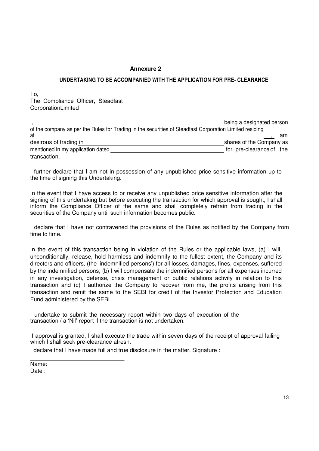# **Annexure 2 Annexure 2 Annexure 2** *Annexure 2*

#### **UNDERTAKING TO BE ACCOMPANIED WITH THE APPLICATION FOR PRE- CLEARANCE**

To, The Compliance Officer, Steadfast **CorporationLimited** 

|                                                                                                         | being a designated person |
|---------------------------------------------------------------------------------------------------------|---------------------------|
| of the company as per the Rules for Trading in the securities of Steadfast Corporation Limited residing |                           |
| at                                                                                                      | am                        |
| desirous of trading in                                                                                  | shares of the Company as  |
| mentioned in my application dated                                                                       | for pre-clearance of the  |
| transaction.                                                                                            |                           |

I further declare that I am not in possession of any unpublished price sensitive information up to the time of signing this Undertaking.

In the event that I have access to or receive any unpublished price sensitive information after the signing of this undertaking but before executing the transaction for which approval is sought, I shall inform the Compliance Officer of the same and shall completely refrain from trading in the securities of the Company until such information becomes public.

I declare that I have not contravened the provisions of the Rules as notified by the Company from time to time.

In the event of this transaction being in violation of the Rules or the applicable laws, (a) I will, unconditionally, release, hold harmless and indemnify to the fullest extent, the Company and its directors and officers, (the 'indemnified persons') for all losses, damages, fines, expenses, suffered by the indemnified persons, (b) I will compensate the indemnified persons for all expenses incurred in any investigation, defense, crisis management or public relations activity in relation to this transaction and (c) I authorize the Company to recover from me, the profits arising from this transaction and remit the same to the SEBI for credit of the Investor Protection and Education Fund administered by the SEBI.

I undertake to submit the necessary report within two days of execution of the transaction / a 'Nil' report if the transaction is not undertaken.

If approval is granted, I shall execute the trade within seven days of the receipt of approval failing which I shall seek pre-clearance afresh.

I declare that I have made full and true disclosure in the matter. Signature :

Name: Date :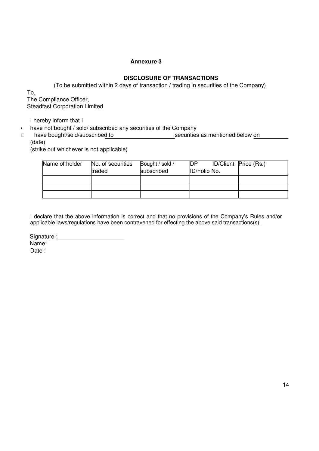# **DISCLOSURE OF TRANSACTIONS**

(To be submitted within 2 days of transaction / trading in securities of the Company)

To, The Compliance Officer, Steadfast Corporation Limited

I hereby inform that I

• have not bought / sold/ subscribed any securities of the Company

have bought/sold/subscribed to securities as mentioned below on (date)

(strike out whichever is not applicable)

| Name of holder | No. of securities | Bought / sold / | <b>DP</b>    | ID/Client Price (Rs.) |
|----------------|-------------------|-----------------|--------------|-----------------------|
|                | traded            | subscribed      | ID/Folio No. |                       |
|                |                   |                 |              |                       |
|                |                   |                 |              |                       |
|                |                   |                 |              |                       |

I declare that the above information is correct and that no provisions of the Company's Rules and/or applicable laws/regulations have been contravened for effecting the above said transactions(s).

Signature : Management Signature : Management Signature : Management Signature : Management Signature : Management Signature : Management Signature : Management Signature : Management Signature : Management Signature : Man

Name: Date :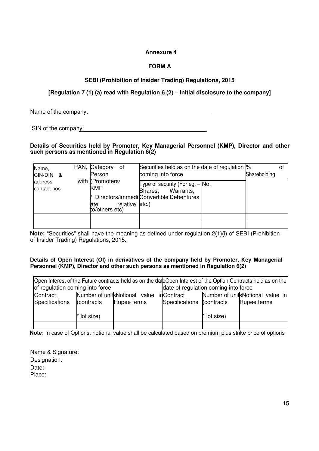# **FORM A**

# **SEBI (Prohibition of Insider Trading) Regulations, 2015**

# **[Regulation 7 (1) (a) read with Regulation 6 (2) – Initial disclosure to the company]**

Name of the company:

ISIN of the company:

#### **Details of Securities held by Promoter, Key Managerial Personnel (KMP), Director and other such persons as mentioned in Regulation 6(2)**

| Name,<br>CIN/DIN &      | PAN, Category<br>0f<br>Person                                              | Securities held as on the date of regulation %<br>coming into force                                | Shareholding | οt |
|-------------------------|----------------------------------------------------------------------------|----------------------------------------------------------------------------------------------------|--------------|----|
| address<br>contact nos. | with (Promoters/<br><b>KMP</b><br>relative etc.)<br>late<br>to/others etc) | Type of security (For eg. - No.<br>Warrants,<br>Shares,<br>Directors/immedi Convertible Debentures |              |    |
|                         |                                                                            |                                                                                                    |              |    |
|                         |                                                                            |                                                                                                    |              |    |

**Note:** "Securities" shall have the meaning as defined under regulation 2(1)(i) of SEBI (Prohibition of Insider Trading) Regulations, 2015.

#### **Details of Open Interest (OI) in derivatives of the company held by Promoter, Key Managerial Personnel (KMP), Director and other such persons as mentioned in Regulation 6(2)**

|                                                                         | Open Interest of the Future contracts held as on the dateOpen Interest of the Option Contracts held as on the |                                          |  |                           |             |                                  |  |  |  |  |  |  |  |  |
|-------------------------------------------------------------------------|---------------------------------------------------------------------------------------------------------------|------------------------------------------|--|---------------------------|-------------|----------------------------------|--|--|--|--|--|--|--|--|
| date of regulation coming into force<br>of regulation coming into force |                                                                                                               |                                          |  |                           |             |                                  |  |  |  |  |  |  |  |  |
| Contract                                                                |                                                                                                               | Number of unitsNotional value inContract |  |                           |             | Number of unitsNotional value in |  |  |  |  |  |  |  |  |
| Specifications                                                          | (contracts                                                                                                    | Rupee terms                              |  | Specifications (contracts |             | Rupee terms                      |  |  |  |  |  |  |  |  |
|                                                                         |                                                                                                               |                                          |  |                           |             |                                  |  |  |  |  |  |  |  |  |
|                                                                         | * lot size)                                                                                                   |                                          |  |                           | * lot size) |                                  |  |  |  |  |  |  |  |  |
|                                                                         |                                                                                                               |                                          |  |                           |             |                                  |  |  |  |  |  |  |  |  |

**Note:** In case of Options, notional value shall be calculated based on premium plus strike price of options

Name & Signature: Designation: Date: Place: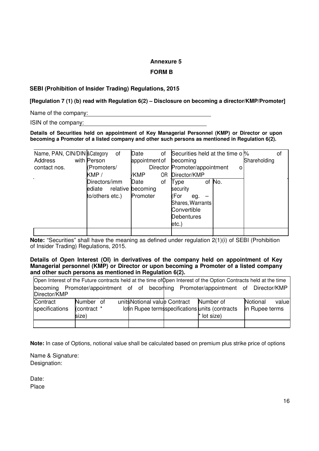#### **FORM B**

# **SEBI (Prohibition of Insider Trading) Regulations, 2015**

**[Regulation 7 (1) (b) read with Regulation 6(2) – Disclosure on becoming a director/KMP/Promoter]**

Name of the company:

ISIN of the company:

**Details of Securities held on appointment of Key Managerial Personnel (KMP) or Director or upon becoming a Promoter of a listed company and other such persons as mentioned in Regulation 6(2).**

| Name, PAN, CIN/DIN & Category | οf              | Date<br>οf        | Securities held at the time o %<br>οf |
|-------------------------------|-----------------|-------------------|---------------------------------------|
| Address                       | with Person     | appointment of    | Shareholding<br>becoming              |
| contact nos.                  | (Promoters/     |                   | Director Promoter/appointment<br>o    |
|                               | KMP /           | ΟR<br>/KMP        | Director/KMP                          |
|                               | Directors/imm   | Date<br>οf        | of No.<br>Type                        |
|                               | ediate          | relative becoming | security                              |
|                               | to/others etc.) | Promoter          | (For<br>eg.                           |
|                               |                 |                   | Shares, Warrants                      |
|                               |                 |                   | Convertible                           |
|                               |                 |                   | <b>Debentures</b>                     |
|                               |                 |                   | etc.)                                 |
|                               |                 |                   |                                       |

**Note:** "Securities" shall have the meaning as defined under regulation 2(1)(i) of SEBI (Prohibition of Insider Trading) Regulations, 2015.

**Details of Open Interest (OI) in derivatives of the company held on appointment of Key Managerial personnel (KMP) or Director or upon becoming a Promoter of a listed company and other such persons as mentioned in Regulation 6(2).**

|                            |                                   |                              |                                                                             | Open Interest of the Future contracts held at the time of Open Interest of the Option Contracts held at the time |
|----------------------------|-----------------------------------|------------------------------|-----------------------------------------------------------------------------|------------------------------------------------------------------------------------------------------------------|
| becoming<br>Director/KMP   |                                   |                              |                                                                             | Promoter/appointment of of becoming Promoter/appointment of Director/KMP                                         |
| Contract<br>specifications | Number of<br>(contract *<br>size) | unit Notional value Contract | Number of<br>lotin Rupee terms specifications units (contracts<br>lot size) | Notional<br>value<br>in Rupee terms                                                                              |
|                            |                                   |                              |                                                                             |                                                                                                                  |

**Note:** In case of Options, notional value shall be calculated based on premium plus strike price of options

Name & Signature: Designation:

Date: Place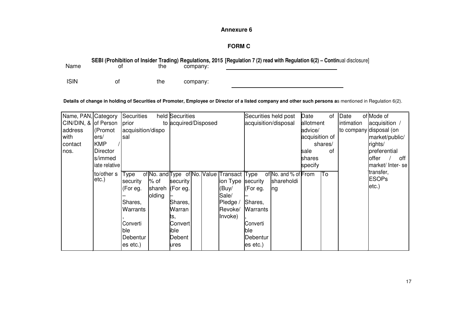# **FORM C**

#### **SEBI (Prohibition of Insider Trading) Regulations, 2015 [Regulation 7 (2) read with Regulation 6(2) – Contin**ual disclosure] Namee of the company: ISINof the company:

#### **Details of change in holding of Securities of Promoter, Employee or Director of a listed company and other such persons a**s mentioned in Regulation 6(2).

| Name, PAN, Category  |               | Securities        |        | held Securities      |  |                                            |                 | Securities held post | Date           | of      | Date       | of Mode of              |
|----------------------|---------------|-------------------|--------|----------------------|--|--------------------------------------------|-----------------|----------------------|----------------|---------|------------|-------------------------|
| CIN/DIN, & of Person |               | prior             |        | to acquired/Disposed |  |                                            |                 | acquisition/disposal | allotment      |         | intimation | acquisition /           |
| address              | (Promot       | acquisition/dispo |        |                      |  |                                            |                 |                      | advice/        |         |            | to company disposal (on |
| with                 | ers/          | Isal              |        |                      |  |                                            |                 |                      | acquisition of |         |            | market/public/          |
| contact              | <b>KMP</b>    |                   |        |                      |  |                                            |                 |                      |                | shares/ |            | rights/                 |
| nos.                 | Director      |                   |        |                      |  |                                            |                 |                      | sale           | οf      |            | preferential            |
|                      | s/immed       |                   |        |                      |  |                                            |                 |                      | shares         |         |            | offer<br>off            |
|                      | iate relative |                   |        |                      |  |                                            |                 |                      | specify        |         |            | market/ Inter-se        |
|                      | to/other s    | Гуре              |        |                      |  | of No. and Type of No. Value Transact Type |                 | of No. and % of From |                | IT٥     |            | transfer,               |
|                      | etc.)         | security          | % of   | security             |  | ion Type Security                          |                 | shareholdi           |                |         |            | <b>ESOPs</b>            |
|                      |               | (For eg.          | shareh | (For eg.             |  | (Buy/                                      | $K$ For eg.     | ng                   |                |         |            | $etc.$ )                |
|                      |               |                   | olding |                      |  | Sale/                                      |                 |                      |                |         |            |                         |
|                      |               | Shares,           |        | Shares,              |  | Pledge /                                   | Shares,         |                      |                |         |            |                         |
|                      |               | Warrants          |        | Warran               |  | Revoke/                                    | <b>Warrants</b> |                      |                |         |            |                         |
|                      |               |                   |        | Ιts,                 |  | Invoke)                                    |                 |                      |                |         |            |                         |
|                      |               | Converti          |        | Convert              |  |                                            | Converti        |                      |                |         |            |                         |
|                      |               | ble               |        | ible                 |  |                                            | lble            |                      |                |         |            |                         |
|                      |               | Debentur          |        | Debent               |  |                                            | Debentur        |                      |                |         |            |                         |
|                      |               | es etc.)          |        | ures                 |  |                                            | es etc.)        |                      |                |         |            |                         |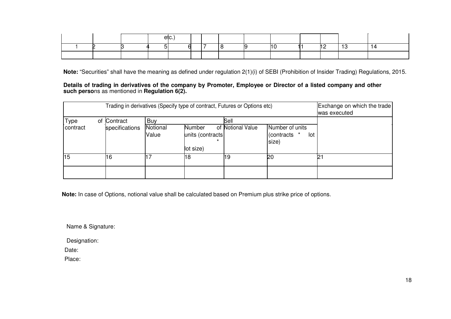|  |  | etc. |  |  |  |                |  |
|--|--|------|--|--|--|----------------|--|
|  |  |      |  |  |  | $\overline{1}$ |  |
|  |  |      |  |  |  |                |  |

**Note:** "Securities" shall have the meaning as defined under regulation 2(1)(i) of SEBI (Prohibition of Insider Trading) Regulations, 2015.

**Details of trading in derivatives of the company by Promoter, Employee or Director of a listed company and other such perso**ns as mentioned in **Regulation 6(2).**

|             | Trading in derivatives (Specify type of contract, Futures or Options etc) | Exchange on which the trade<br>was executed |                                                     |                   |                                                 |    |
|-------------|---------------------------------------------------------------------------|---------------------------------------------|-----------------------------------------------------|-------------------|-------------------------------------------------|----|
| <b>Type</b> | of Contract                                                               | Buy                                         |                                                     | Sell              |                                                 |    |
| contract    | specifications                                                            | Notional<br>Value                           | <b>Number</b><br>units (contracts<br>÷<br>lot size) | of Notional Value | Number of units<br>(contracts *<br>lot<br>size) |    |
| 15          | 16                                                                        |                                             | 18                                                  | 19                | 20                                              | 21 |
|             |                                                                           |                                             |                                                     |                   |                                                 |    |

**Note:** In case of Options, notional value shall be calculated based on Premium plus strike price of options.

Name & Signature:

Designation:

Date:

Place: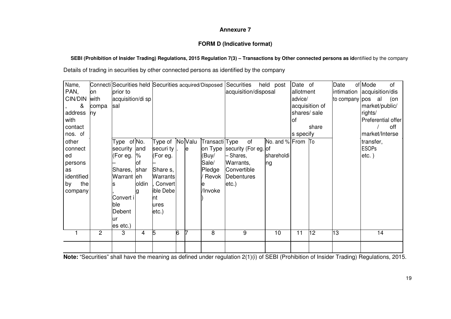# **FORM D (Indicative format)**

# **SEBI (Prohibition of Insider Trading) Regulations, 2015 Regulation 7(3) – Transactions by Other connected persons as id**entifiied by the company

Details of trading in securities by other connected persons as identified by the company

| Name,<br>PAN,<br>CIN/DIN<br>&<br>address<br>with<br>contact<br>nos. of        | on<br>with<br>compa<br>ny | prior to<br>acquisition/di sp<br>sal                                                                                   |               | Connecti Securities held Securities acquired/Disposed Securities                                               |   |    |                                                       | held post<br>acquisition/disposal                                                                               | Date of<br>allotment<br>advice/<br>acquisition of<br>shares/sale<br>οf<br>share<br>s specify |    | Date<br>to company pos al | of Mode<br>0f<br>intimation acquisition/dis<br>(on<br>market/public/<br>rights/<br>Preferential offer<br>off<br>market/Interse |                                       |
|-------------------------------------------------------------------------------|---------------------------|------------------------------------------------------------------------------------------------------------------------|---------------|----------------------------------------------------------------------------------------------------------------|---|----|-------------------------------------------------------|-----------------------------------------------------------------------------------------------------------------|----------------------------------------------------------------------------------------------|----|---------------------------|--------------------------------------------------------------------------------------------------------------------------------|---------------------------------------|
| other<br>connect<br>ed<br>persons<br>as<br>identified<br>the<br>by<br>company |                           | Type of No.<br>security and<br>(For eg.<br>Shares, shar<br>Warrant eh<br>Convert i<br>ble<br>Debent<br>lur<br>es etc.) | $\%$<br>oldin | Type of NoValu<br>securi ty<br>(For eg.<br>Share s,<br>Warrants<br>Convert<br>ible Debe<br>nt<br>ures<br>etc.) |   | le | Transacti Type<br>(Buy/<br>Sale/<br>Pledge<br>/Invoke | of<br>on Type Security (For eg. of<br>- Shares,<br>Warrants,<br>Convertible<br>Revok Debentures<br>$ $ etc. $ $ | No. and % From To<br>shareholdi<br>Ing                                                       |    |                           |                                                                                                                                | transfer,<br><b>ESOPs</b><br>$etc.$ ) |
|                                                                               | $\overline{c}$            | 3                                                                                                                      | 4             | 5                                                                                                              | 6 |    | 8                                                     | 9                                                                                                               | $\overline{10}$                                                                              | 11 | 12                        | 13                                                                                                                             | $\overline{14}$                       |
|                                                                               |                           |                                                                                                                        |               |                                                                                                                |   |    |                                                       |                                                                                                                 |                                                                                              |    |                           |                                                                                                                                |                                       |

**Note:** "Securities" shall have the meaning as defined under regulation 2(1)(i) of SEBI (Prohibition of Insider Trading) Regulations, 2015.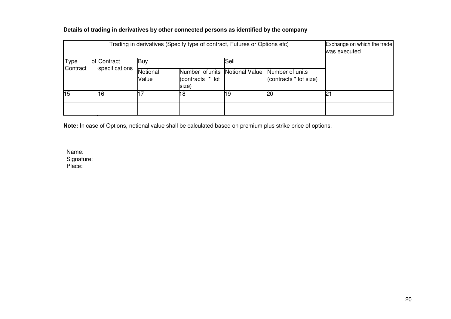|                 | Exchange on which the trade<br>Trading in derivatives (Specify type of contract, Futures or Options etc)<br>was executed |                |                   |                                              |      |                                                          |     |  |  |  |  |  |  |  |
|-----------------|--------------------------------------------------------------------------------------------------------------------------|----------------|-------------------|----------------------------------------------|------|----------------------------------------------------------|-----|--|--|--|--|--|--|--|
| Type            |                                                                                                                          | of Contract    | Buy               |                                              | Sell |                                                          |     |  |  |  |  |  |  |  |
| Contract        |                                                                                                                          | specifications | Notional<br>Value | Number of units<br>(contracts * lot<br>size) |      | Notional Value Number of units<br>(contracts * lot size) |     |  |  |  |  |  |  |  |
| $\overline{15}$ |                                                                                                                          | 16             |                   | 18                                           | 19   | <b>20</b>                                                | ۱D. |  |  |  |  |  |  |  |
|                 |                                                                                                                          |                |                   |                                              |      |                                                          |     |  |  |  |  |  |  |  |

# **Details of trading in derivatives by other connected persons as identified by the company**

**Note:** In case of Options, notional value shall be calculated based on premium plus strike price of options.

Name:Signature: Place: